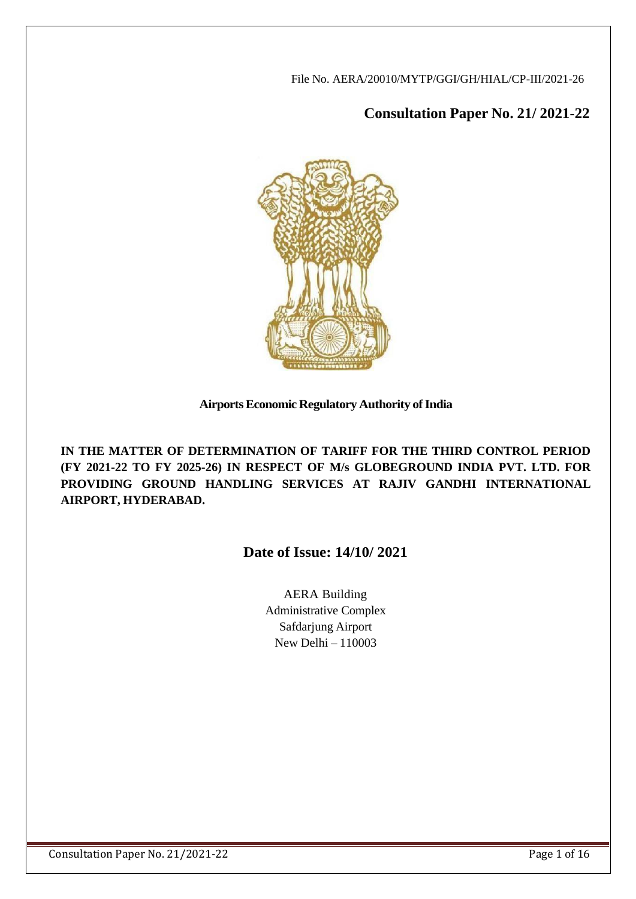File No. AERA/20010/MYTP/GGI/GH/HIAL/CP-III/2021-26

# **Consultation Paper No. 21/ 2021-22**



# **AirportsEconomic Regulatory Authority ofIndia**

**IN THE MATTER OF DETERMINATION OF TARIFF FOR THE THIRD CONTROL PERIOD (FY 2021-22 TO FY 2025-26) IN RESPECT OF M/s GLOBEGROUND INDIA PVT. LTD. FOR PROVIDING GROUND HANDLING SERVICES AT RAJIV GANDHI INTERNATIONAL AIRPORT, HYDERABAD.**

# **Date of Issue: 14/10/ 2021**

AERA Building Administrative Complex Safdarjung Airport New Delhi – 110003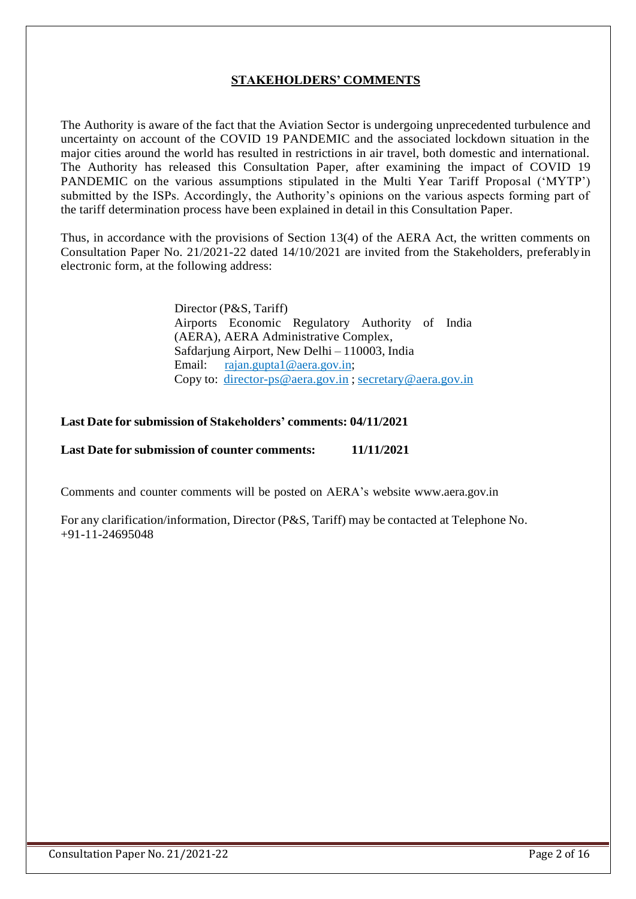# **STAKEHOLDERS' COMMENTS**

The Authority is aware of the fact that the Aviation Sector is undergoing unprecedented turbulence and uncertainty on account of the COVID 19 PANDEMIC and the associated lockdown situation in the major cities around the world has resulted in restrictions in air travel, both domestic and international. The Authority has released this Consultation Paper, after examining the impact of COVID 19 PANDEMIC on the various assumptions stipulated in the Multi Year Tariff Proposal ('MYTP') submitted by the ISPs. Accordingly, the Authority's opinions on the various aspects forming part of the tariff determination process have been explained in detail in this Consultation Paper.

Thus, in accordance with the provisions of Section 13(4) of the AERA Act, the written comments on Consultation Paper No. 21/2021-22 dated 14/10/2021 are invited from the Stakeholders, preferablyin electronic form, at the following address:

> Director (P&S, Tariff) Airports Economic Regulatory Authority of India (AERA), AERA Administrative Complex, Safdarjung Airport, New Delhi – 110003, India Email: [rajan.gupta1@aera.gov.in;](mailto:rajan.gupta1@aera.gov.in) Copy to: [director-ps@aera.gov.in](mailto:director-ps@aera.gov.in) ; [secretary@aera.gov.in](mailto:secretary@aera.gov.in)

#### **Last Date for submission of Stakeholders' comments: 04/11/2021**

#### **Last Date for submission of counter comments: 11/11/2021**

Comments and counter comments will be posted on AERA's website [www.aera.gov.in](http://www.aera.gov.in/)

For any clarification/information, Director (P&S, Tariff) may be contacted at Telephone No. +91-11-24695048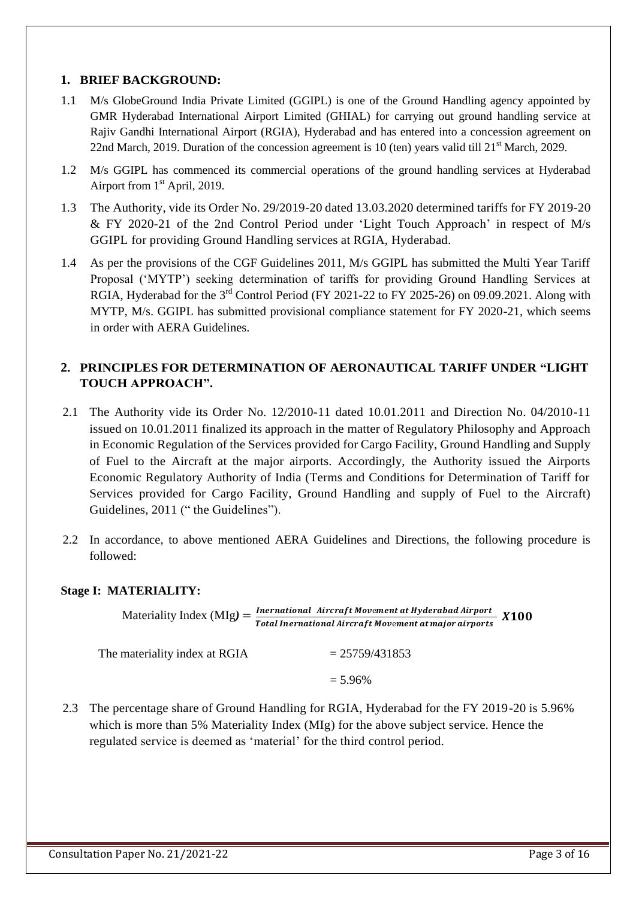#### **1. BRIEF BACKGROUND:**

- 1.1 M/s GlobeGround India Private Limited (GGIPL) is one of the Ground Handling agency appointed by GMR Hyderabad International Airport Limited (GHIAL) for carrying out ground handling service at Rajiv Gandhi International Airport (RGIA), Hyderabad and has entered into a concession agreement on 22nd March, 2019. Duration of the concession agreement is 10 (ten) years valid till  $21<sup>st</sup>$  March, 2029.
- 1.2 M/s GGIPL has commenced its commercial operations of the ground handling services at Hyderabad Airport from 1<sup>st</sup> April, 2019.
- 1.3 The Authority, vide its Order No. 29/2019-20 dated 13.03.2020 determined tariffs for FY 2019-20 & FY 2020-21 of the 2nd Control Period under 'Light Touch Approach' in respect of M/s GGIPL for providing Ground Handling services at RGIA, Hyderabad.
- 1.4 As per the provisions of the CGF Guidelines 2011, M/s GGIPL has submitted the Multi Year Tariff Proposal ('MYTP') seeking determination of tariffs for providing Ground Handling Services at RGIA, Hyderabad for the 3<sup>rd</sup> Control Period (FY 2021-22 to FY 2025-26) on 09.09.2021. Along with MYTP, M/s. GGIPL has submitted provisional compliance statement for FY 2020-21, which seems in order with AERA Guidelines.

# **2. PRINCIPLES FOR DETERMINATION OF AERONAUTICAL TARIFF UNDER "LIGHT TOUCH APPROACH".**

- 2.1 The Authority vide its Order No. 12/2010-11 dated 10.01.2011 and Direction No. 04/2010-11 issued on 10.01.2011 finalized its approach in the matter of Regulatory Philosophy and Approach in Economic Regulation of the Services provided for Cargo Facility, Ground Handling and Supply of Fuel to the Aircraft at the major airports. Accordingly, the Authority issued the Airports Economic Regulatory Authority of India (Terms and Conditions for Determination of Tariff for Services provided for Cargo Facility, Ground Handling and supply of Fuel to the Aircraft) Guidelines, 2011 (" the Guidelines").
- 2.2 In accordance, to above mentioned AERA Guidelines and Directions, the following procedure is followed:

#### **Stage I: MATERIALITY:**

Materiality Index  $(MIg) = \frac{Inernational\ Aircraft\ Movement\ at\ Hydrogen{\t1{1}{2}{2}{2}{Morel\ in\ H}^{\dagger}}{N}}{N}$ ner national Aircraft Movement at Hyderabau Airport<br>Total Inernational Aircraft Movement at major airports X100

The materiality index at RGIA  $= 25759/431853$ 

 $= 5.96\%$ 

2.3 The percentage share of Ground Handling for RGIA, Hyderabad for the FY 2019-20 is 5.96% which is more than 5% Materiality Index (MIg) for the above subject service. Hence the regulated service is deemed as 'material' for the third control period.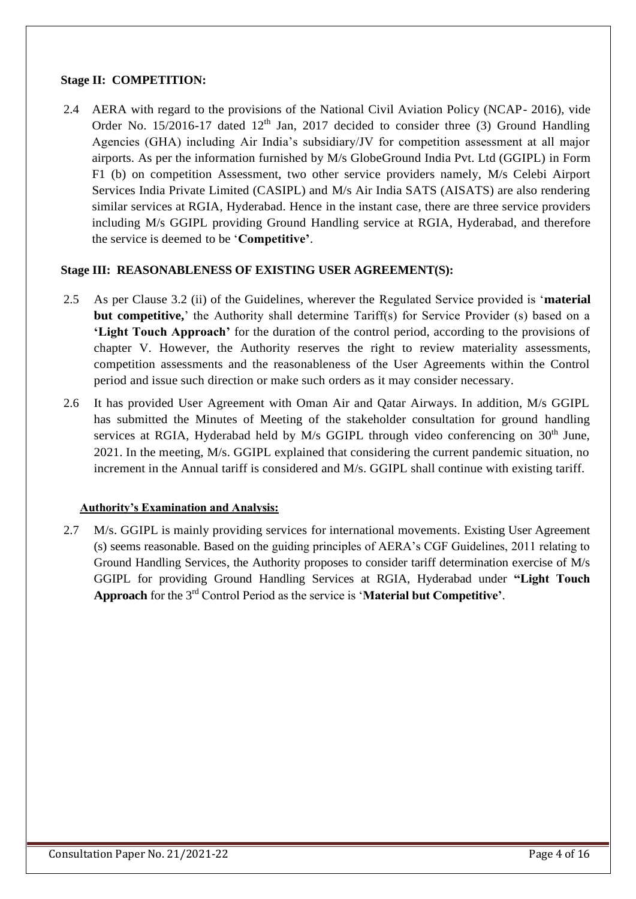#### **Stage II: COMPETITION:**

2.4 AERA with regard to the provisions of the National Civil Aviation Policy (NCAP- 2016), vide Order No. 15/2016-17 dated  $12<sup>th</sup>$  Jan, 2017 decided to consider three (3) Ground Handling Agencies (GHA) including Air India's subsidiary/JV for competition assessment at all major airports. As per the information furnished by M/s GlobeGround India Pvt. Ltd (GGIPL) in Form F1 (b) on competition Assessment, two other service providers namely, M/s Celebi Airport Services India Private Limited (CASIPL) and M/s Air India SATS (AISATS) are also rendering similar services at RGIA, Hyderabad. Hence in the instant case, there are three service providers including M/s GGIPL providing Ground Handling service at RGIA, Hyderabad, and therefore the service is deemed to be '**Competitive'**.

#### **Stage III: REASONABLENESS OF EXISTING USER AGREEMENT(S):**

- 2.5 As per Clause 3.2 (ii) of the Guidelines, wherever the Regulated Service provided is '**material but competitive,**' the Authority shall determine Tariff(s) for Service Provider (s) based on a **'Light Touch Approach'** for the duration of the control period, according to the provisions of chapter V. However, the Authority reserves the right to review materiality assessments, competition assessments and the reasonableness of the User Agreements within the Control period and issue such direction or make such orders as it may consider necessary.
- 2.6 It has provided User Agreement with Oman Air and Qatar Airways. In addition, M/s GGIPL has submitted the Minutes of Meeting of the stakeholder consultation for ground handling services at RGIA, Hyderabad held by M/s GGIPL through video conferencing on  $30<sup>th</sup>$  June, 2021. In the meeting, M/s. GGIPL explained that considering the current pandemic situation, no increment in the Annual tariff is considered and M/s. GGIPL shall continue with existing tariff.

### **Authority's Examination and Analysis:**

2.7 M/s. GGIPL is mainly providing services for international movements. Existing User Agreement (s) seems reasonable. Based on the guiding principles of AERA's CGF Guidelines, 2011 relating to Ground Handling Services, the Authority proposes to consider tariff determination exercise of M/s GGIPL for providing Ground Handling Services at RGIA, Hyderabad under **"Light Touch Approach** for the 3rd Control Period as the service is '**Material but Competitive'**.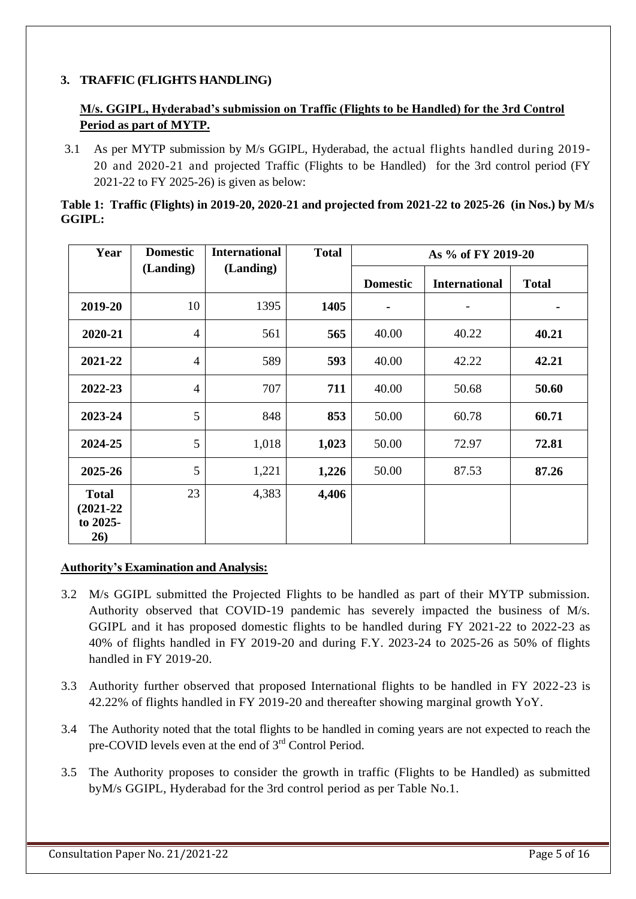# **3. TRAFFIC (FLIGHTS HANDLING)**

# **M/s. GGIPL, Hyderabad's submission on Traffic (Flights to be Handled) for the 3rd Control Period as part of MYTP.**

3.1 As per MYTP submission by M/s GGIPL, Hyderabad, the actual flights handled during 2019- 20 and 2020-21 and projected Traffic (Flights to be Handled) for the 3rd control period (FY 2021-22 to FY 2025-26) is given as below:

|               | Table 1: Traffic (Flights) in 2019-20, 2020-21 and projected from 2021-22 to 2025-26 (in Nos.) by M/s |  |
|---------------|-------------------------------------------------------------------------------------------------------|--|
| <b>GGIPL:</b> |                                                                                                       |  |

| Year                                             | <b>Domestic</b> | <b>International</b> | <b>Total</b> | As % of FY 2019-20 |                      |              |  |  |
|--------------------------------------------------|-----------------|----------------------|--------------|--------------------|----------------------|--------------|--|--|
|                                                  | (Landing)       | (Landing)            |              | <b>Domestic</b>    | <b>International</b> | <b>Total</b> |  |  |
| 2019-20                                          | 10              | 1395                 | 1405         |                    |                      |              |  |  |
| 2020-21                                          | $\overline{4}$  | 561                  | 565          | 40.00              | 40.22                | 40.21        |  |  |
| 2021-22                                          | $\overline{4}$  | 589                  | 593          | 40.00              | 42.22                | 42.21        |  |  |
| 2022-23                                          | $\overline{4}$  | 707                  | 711          | 40.00              | 50.68                | 50.60        |  |  |
| 2023-24                                          | 5               | 848                  | 853          | 50.00              | 60.78                | 60.71        |  |  |
| 2024-25                                          | 5               | 1,018                | 1,023        | 50.00              | 72.97                | 72.81        |  |  |
| 2025-26                                          | 5               | 1,221                | 1,226        | 50.00              | 87.53                | 87.26        |  |  |
| <b>Total</b><br>$(2021 - 22)$<br>to 2025-<br>26) | 23              | 4,383                | 4,406        |                    |                      |              |  |  |

- 3.2 M/s GGIPL submitted the Projected Flights to be handled as part of their MYTP submission. Authority observed that COVID-19 pandemic has severely impacted the business of M/s. GGIPL and it has proposed domestic flights to be handled during FY 2021-22 to 2022-23 as 40% of flights handled in FY 2019-20 and during F.Y. 2023-24 to 2025-26 as 50% of flights handled in FY 2019-20.
- 3.3 Authority further observed that proposed International flights to be handled in FY 2022-23 is 42.22% of flights handled in FY 2019-20 and thereafter showing marginal growth YoY.
- 3.4 The Authority noted that the total flights to be handled in coming years are not expected to reach the pre-COVID levels even at the end of 3<sup>rd</sup> Control Period.
- 3.5 The Authority proposes to consider the growth in traffic (Flights to be Handled) as submitted byM/s GGIPL, Hyderabad for the 3rd control period as per Table No.1.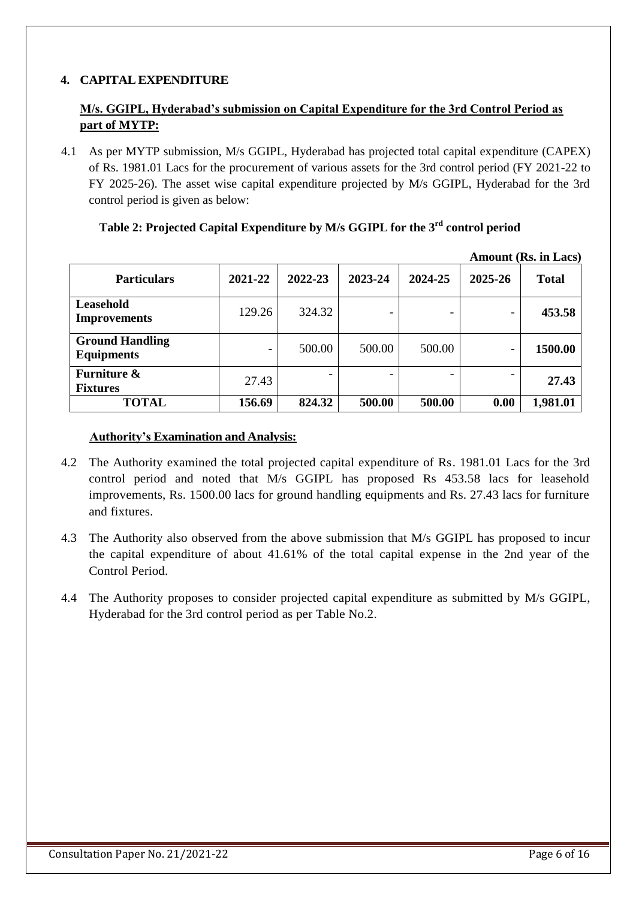# **4. CAPITAL EXPENDITURE**

# **M/s. GGIPL, Hyderabad's submission on Capital Expenditure for the 3rd Control Period as part of MYTP:**

4.1 As per MYTP submission, M/s GGIPL, Hyderabad has projected total capital expenditure (CAPEX) of Rs. 1981.01 Lacs for the procurement of various assets for the 3rd control period (FY 2021-22 to FY 2025-26). The asset wise capital expenditure projected by M/s GGIPL, Hyderabad for the 3rd control period is given as below:

|                                             |         |         |                          |         |                          | <b>Amount (Rs. in Lacs)</b> |
|---------------------------------------------|---------|---------|--------------------------|---------|--------------------------|-----------------------------|
| <b>Particulars</b>                          | 2021-22 | 2022-23 | 2023-24                  | 2024-25 | 2025-26                  | <b>Total</b>                |
| Leasehold<br><b>Improvements</b>            | 129.26  | 324.32  | $\overline{\phantom{a}}$ |         | $\overline{\phantom{a}}$ | 453.58                      |
| <b>Ground Handling</b><br><b>Equipments</b> | -       | 500.00  | 500.00                   | 500.00  | $\overline{\phantom{a}}$ | 1500.00                     |
| <b>Furniture &amp;</b><br><b>Fixtures</b>   | 27.43   |         | $\qquad \qquad$          |         | $\overline{\phantom{0}}$ | 27.43                       |
| <b>TOTAL</b>                                | 156.69  | 824.32  | 500.00                   | 500.00  | 0.00                     | 1,981.01                    |

# **Table 2: Projected Capital Expenditure by M/s GGIPL for the 3 rd control period**

- 4.2 The Authority examined the total projected capital expenditure of Rs. 1981.01 Lacs for the 3rd control period and noted that M/s GGIPL has proposed Rs 453.58 lacs for leasehold improvements, Rs. 1500.00 lacs for ground handling equipments and Rs. 27.43 lacs for furniture and fixtures.
- 4.3 The Authority also observed from the above submission that M/s GGIPL has proposed to incur the capital expenditure of about 41.61% of the total capital expense in the 2nd year of the Control Period.
- 4.4 The Authority proposes to consider projected capital expenditure as submitted by M/s GGIPL, Hyderabad for the 3rd control period as per Table No.2.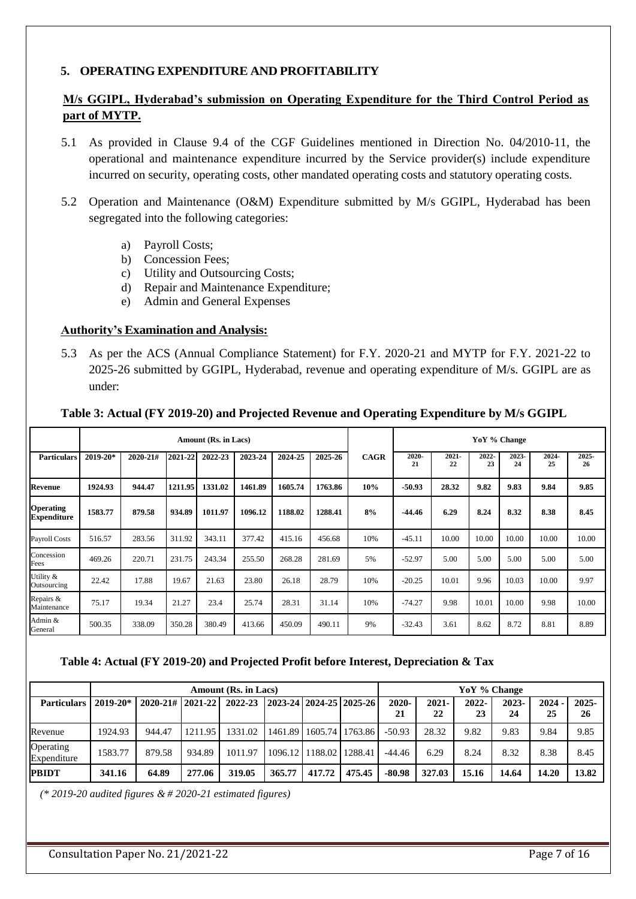#### **5. OPERATING EXPENDITURE AND PROFITABILITY**

# **M/s GGIPL, Hyderabad's submission on Operating Expenditure for the Third Control Period as part of MYTP.**

- 5.1 As provided in Clause 9.4 of the CGF Guidelines mentioned in Direction No. 04/2010-11, the operational and maintenance expenditure incurred by the Service provider(s) include expenditure incurred on security, operating costs, other mandated operating costs and statutory operating costs.
- 5.2 Operation and Maintenance (O&M) Expenditure submitted by M/s GGIPL, Hyderabad has been segregated into the following categories:
	- a) Payroll Costs;
	- b) Concession Fees;
	- c) Utility and Outsourcing Costs;
	- d) Repair and Maintenance Expenditure;
	- e) Admin and General Expenses

#### **Authority's Examination and Analysis:**

5.3 As per the ACS (Annual Compliance Statement) for F.Y. 2020-21 and MYTP for F.Y. 2021-22 to 2025-26 submitted by GGIPL, Hyderabad, revenue and operating expenditure of M/s. GGIPL are as under:

|                                        |              |          |         | Amount (Rs. in Lacs) |         |         |         |             | YoY % Change |                |             |             |            |                |
|----------------------------------------|--------------|----------|---------|----------------------|---------|---------|---------|-------------|--------------|----------------|-------------|-------------|------------|----------------|
| <b>Particulars</b>                     | $2019 - 20*$ | 2020-21# | 2021-22 | 2022-23              | 2023-24 | 2024-25 | 2025-26 | <b>CAGR</b> | 2020<br>21   | $2021 -$<br>22 | 2022-<br>23 | 2023-<br>24 | 2024<br>25 | $2025 -$<br>26 |
| Revenue                                | 1924.93      | 944.47   | 1211.95 | 1331.02              | 1461.89 | 1605.74 | 1763.86 | 10%         | $-50.93$     | 28.32          | 9.82        | 9.83        | 9.84       | 9.85           |
| <b>Operating</b><br><b>Expenditure</b> | 1583.77      | 879.58   | 934.89  | 1011.97              | 1096.12 | 1188.02 | 1288.41 | 8%          | $-44.46$     | 6.29           | 8.24        | 8.32        | 8.38       | 8.45           |
| Payroll Costs                          | 516.57       | 283.56   | 311.92  | 343.11               | 377.42  | 415.16  | 456.68  | 10%         | $-45.11$     | 10.00          | 10.00       | 10.00       | 10.00      | 10.00          |
| Concession<br>Fees                     | 469.26       | 220.71   | 231.75  | 243.34               | 255.50  | 268.28  | 281.69  | 5%          | $-52.97$     | 5.00           | 5.00        | 5.00        | 5.00       | 5.00           |
| Utility &<br>Outsourcing               | 22.42        | 17.88    | 19.67   | 21.63                | 23.80   | 26.18   | 28.79   | 10%         | $-20.25$     | 10.01          | 9.96        | 10.03       | 10.00      | 9.97           |
| Repairs &<br>Maintenance               | 75.17        | 19.34    | 21.27   | 23.4                 | 25.74   | 28.31   | 31.14   | 10%         | $-74.27$     | 9.98           | 10.01       | 10.00       | 9.98       | 10.00          |
| Admin &<br>General                     | 500.35       | 338.09   | 350.28  | 380.49               | 413.66  | 450.09  | 490.11  | 9%          | $-32.43$     | 3.61           | 8.62        | 8.72        | 8.81       | 8.89           |

#### **Table 3: Actual (FY 2019-20) and Projected Revenue and Operating Expenditure by M/s GGIPL**

#### **Table 4: Actual (FY 2019-20) and Projected Profit before Interest, Depreciation & Tax**

|                          |              |                          |         | Amount (Rs. in Lacs) |        |                                       |        | YoY % Change   |                |             |             |                |                |  |
|--------------------------|--------------|--------------------------|---------|----------------------|--------|---------------------------------------|--------|----------------|----------------|-------------|-------------|----------------|----------------|--|
| <b>Particulars</b>       | $2019 - 20*$ | $2020 - 21 \# 2021 - 22$ |         | 2022-23              |        | $ 2023 - 24   2024 - 25   2025 - 26 $ |        | $2020 -$<br>21 | $2021 -$<br>22 | 2022-<br>23 | 2023-<br>24 | $2024 -$<br>25 | $2025 -$<br>26 |  |
| Revenue                  | 1924.93      | 944.47                   | 1211.95 | 1331.02              |        | 1461.89 1605.74 1763.86               |        | $-50.93$       | 28.32          | 9.82        | 9.83        | 9.84           | 9.85           |  |
| Operating<br>Expenditure | 1583.77      | 879.58                   | 934.89  | 1011.97              |        | 1096.12 1188.02 1288.41               |        | -44.46         | 6.29           | 8.24        | 8.32        | 8.38           | 8.45           |  |
| <b>PBIDT</b>             | 341.16       | 64.89                    | 277.06  | 319.05               | 365.77 | 417.72                                | 475.45 | $-80.98$       | 327.03         | 15.16       | 14.64       | 14.20          | 13.82          |  |

*(\* 2019-20 audited figures & # 2020-21 estimated figures)*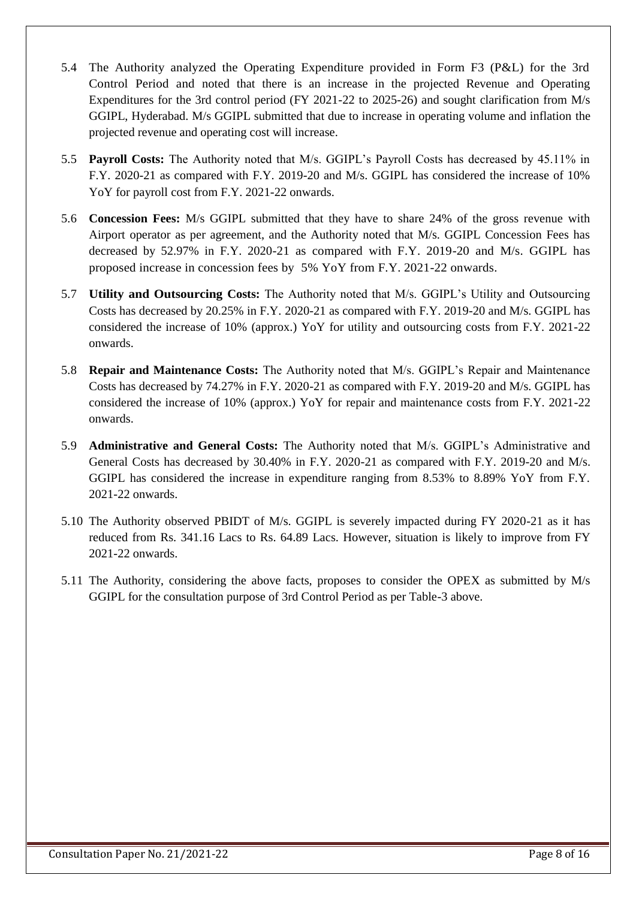- 5.4 The Authority analyzed the Operating Expenditure provided in Form F3 (P&L) for the 3rd Control Period and noted that there is an increase in the projected Revenue and Operating Expenditures for the 3rd control period (FY 2021-22 to 2025-26) and sought clarification from M/s GGIPL, Hyderabad. M/s GGIPL submitted that due to increase in operating volume and inflation the projected revenue and operating cost will increase.
- 5.5 **Payroll Costs:** The Authority noted that M/s. GGIPL's Payroll Costs has decreased by 45.11% in F.Y. 2020-21 as compared with F.Y. 2019-20 and M/s. GGIPL has considered the increase of 10% YoY for payroll cost from F.Y. 2021-22 onwards.
- 5.6 **Concession Fees:** M/s GGIPL submitted that they have to share 24% of the gross revenue with Airport operator as per agreement, and the Authority noted that M/s. GGIPL Concession Fees has decreased by 52.97% in F.Y. 2020-21 as compared with F.Y. 2019-20 and M/s. GGIPL has proposed increase in concession fees by 5% YoY from F.Y. 2021-22 onwards.
- 5.7 **Utility and Outsourcing Costs:** The Authority noted that M/s. GGIPL's Utility and Outsourcing Costs has decreased by 20.25% in F.Y. 2020-21 as compared with F.Y. 2019-20 and M/s. GGIPL has considered the increase of 10% (approx.) YoY for utility and outsourcing costs from F.Y. 2021-22 onwards.
- 5.8 **Repair and Maintenance Costs:** The Authority noted that M/s. GGIPL's Repair and Maintenance Costs has decreased by 74.27% in F.Y. 2020-21 as compared with F.Y. 2019-20 and M/s. GGIPL has considered the increase of 10% (approx.) YoY for repair and maintenance costs from F.Y. 2021-22 onwards.
- 5.9 **Administrative and General Costs:** The Authority noted that M/s. GGIPL's Administrative and General Costs has decreased by 30.40% in F.Y. 2020-21 as compared with F.Y. 2019-20 and M/s. GGIPL has considered the increase in expenditure ranging from 8.53% to 8.89% YoY from F.Y. 2021-22 onwards.
- 5.10 The Authority observed PBIDT of M/s. GGIPL is severely impacted during FY 2020-21 as it has reduced from Rs. 341.16 Lacs to Rs. 64.89 Lacs. However, situation is likely to improve from FY 2021-22 onwards.
- 5.11 The Authority, considering the above facts, proposes to consider the OPEX as submitted by M/s GGIPL for the consultation purpose of 3rd Control Period as per Table-3 above.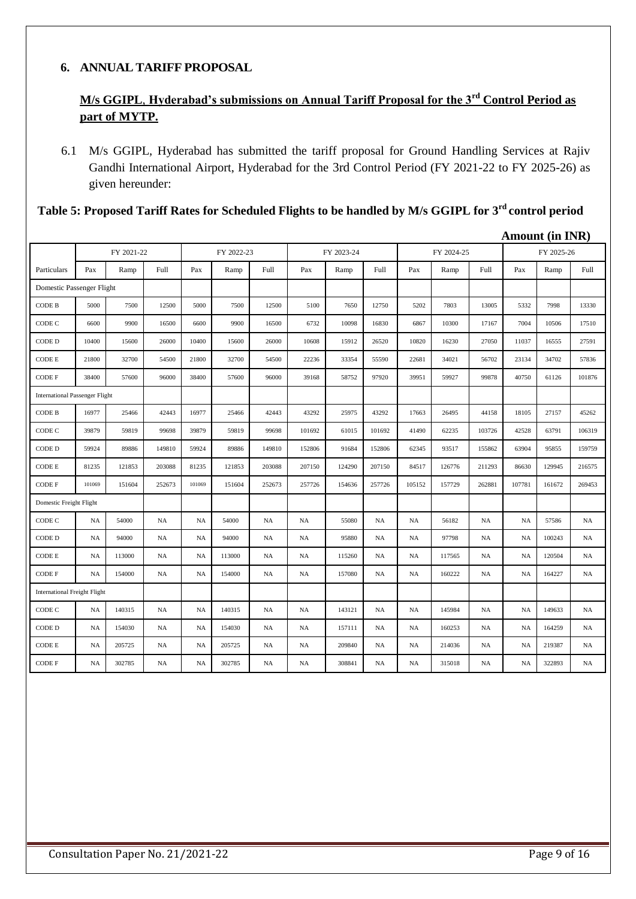### **6. ANNUAL TARIFF PROPOSAL**

# **M/s GGIPL**, **Hyderabad's submissions on Annual Tariff Proposal for the 3rd Control Period as part of MYTP.**

6.1 M/s GGIPL, Hyderabad has submitted the tariff proposal for Ground Handling Services at Rajiv Gandhi International Airport, Hyderabad for the 3rd Control Period (FY 2021-22 to FY 2025-26) as given hereunder:

| Table 5: Proposed Tariff Rates for Scheduled Flights to be handled by M/s GGIPL for 3 <sup>rd</sup> control period |  |  |  |  |  |
|--------------------------------------------------------------------------------------------------------------------|--|--|--|--|--|
|--------------------------------------------------------------------------------------------------------------------|--|--|--|--|--|

|                                       |           |            |           |           |            |           |        |            |             |           |            |           | <b>Amount (in INR)</b> |            |           |
|---------------------------------------|-----------|------------|-----------|-----------|------------|-----------|--------|------------|-------------|-----------|------------|-----------|------------------------|------------|-----------|
|                                       |           | FY 2021-22 |           |           | FY 2022-23 |           |        | FY 2023-24 |             |           | FY 2024-25 |           |                        | FY 2025-26 |           |
| Particulars                           | Pax       | Ramp       | Full      | Pax       | Ramp       | Full      | Pax    | Ramp       | <b>Full</b> | Pax       | Ramp       | Full      | Pax                    | Ramp       | Full      |
| Domestic Passenger Flight             |           |            |           |           |            |           |        |            |             |           |            |           |                        |            |           |
| CODE B                                | 5000      | 7500       | 12500     | 5000      | 7500       | 12500     | 5100   | 7650       | 12750       | 5202      | 7803       | 13005     | 5332                   | 7998       | 13330     |
| CODE C                                | 6600      | 9900       | 16500     | 6600      | 9900       | 16500     | 6732   | 10098      | 16830       | 6867      | 10300      | 17167     | 7004                   | 10506      | 17510     |
| CODE D                                | 10400     | 15600      | 26000     | 10400     | 15600      | 26000     | 10608  | 15912      | 26520       | 10820     | 16230      | 27050     | 11037                  | 16555      | 27591     |
| CODE E                                | 21800     | 32700      | 54500     | 21800     | 32700      | 54500     | 22236  | 33354      | 55590       | 22681     | 34021      | 56702     | 23134                  | 34702      | 57836     |
| CODE F                                | 38400     | 57600      | 96000     | 38400     | 57600      | 96000     | 39168  | 58752      | 97920       | 39951     | 59927      | 99878     | 40750                  | 61126      | 101876    |
| <b>International Passenger Flight</b> |           |            |           |           |            |           |        |            |             |           |            |           |                        |            |           |
| <b>CODE B</b>                         | 16977     | 25466      | 42443     | 16977     | 25466      | 42443     | 43292  | 25975      | 43292       | 17663     | 26495      | 44158     | 18105                  | 27157      | 45262     |
| CODE C                                | 39879     | 59819      | 99698     | 39879     | 59819      | 99698     | 101692 | 61015      | 101692      | 41490     | 62235      | 103726    | 42528                  | 63791      | 106319    |
| CODE D                                | 59924     | 89886      | 149810    | 59924     | 89886      | 149810    | 152806 | 91684      | 152806      | 62345     | 93517      | 155862    | 63904                  | 95855      | 159759    |
| CODE E                                | 81235     | 121853     | 203088    | 81235     | 121853     | 203088    | 207150 | 124290     | 207150      | 84517     | 126776     | 211293    | 86630                  | 129945     | 216575    |
| CODE F                                | 101069    | 151604     | 252673    | 101069    | 151604     | 252673    | 257726 | 154636     | 257726      | 105152    | 157729     | 262881    | 107781                 | 161672     | 269453    |
| Domestic Freight Flight               |           |            |           |           |            |           |        |            |             |           |            |           |                        |            |           |
| CODE C                                | <b>NA</b> | 54000      | NA        | <b>NA</b> | 54000      | <b>NA</b> | NA     | 55080      | NA          | <b>NA</b> | 56182      | NA        | NA                     | 57586      | <b>NA</b> |
| CODE D                                | <b>NA</b> | 94000      | <b>NA</b> | <b>NA</b> | 94000      | <b>NA</b> | NA     | 95880      | <b>NA</b>   | <b>NA</b> | 97798      | NA        | <b>NA</b>              | 100243     | <b>NA</b> |
| CODE E                                | <b>NA</b> | 113000     | <b>NA</b> | <b>NA</b> | 113000     | <b>NA</b> | NA     | 115260     | NA          | <b>NA</b> | 117565     | NA        | <b>NA</b>              | 120504     | <b>NA</b> |
| CODE F                                | <b>NA</b> | 154000     | NA        | <b>NA</b> | 154000     | <b>NA</b> | NA     | 157080     | <b>NA</b>   | <b>NA</b> | 160222     | NA        | <b>NA</b>              | 164227     | NA        |
| <b>International Freight Flight</b>   |           |            |           |           |            |           |        |            |             |           |            |           |                        |            |           |
| CODE C                                | NA        | 140315     | <b>NA</b> | <b>NA</b> | 140315     | <b>NA</b> | NA     | 143121     | <b>NA</b>   | <b>NA</b> | 145984     | <b>NA</b> | NA                     | 149633     | <b>NA</b> |
| CODE D                                | <b>NA</b> | 154030     | <b>NA</b> | <b>NA</b> | 154030     | <b>NA</b> | NA     | 157111     | <b>NA</b>   | <b>NA</b> | 160253     | <b>NA</b> | <b>NA</b>              | 164259     | <b>NA</b> |
| CODE E                                | <b>NA</b> | 205725     | <b>NA</b> | <b>NA</b> | 205725     | <b>NA</b> | NA     | 209840     | <b>NA</b>   | <b>NA</b> | 214036     | <b>NA</b> | <b>NA</b>              | 219387     | <b>NA</b> |
| CODE F                                | <b>NA</b> | 302785     | <b>NA</b> | <b>NA</b> | 302785     | <b>NA</b> | NA     | 308841     | <b>NA</b>   | <b>NA</b> | 315018     | <b>NA</b> | <b>NA</b>              | 322893     | <b>NA</b> |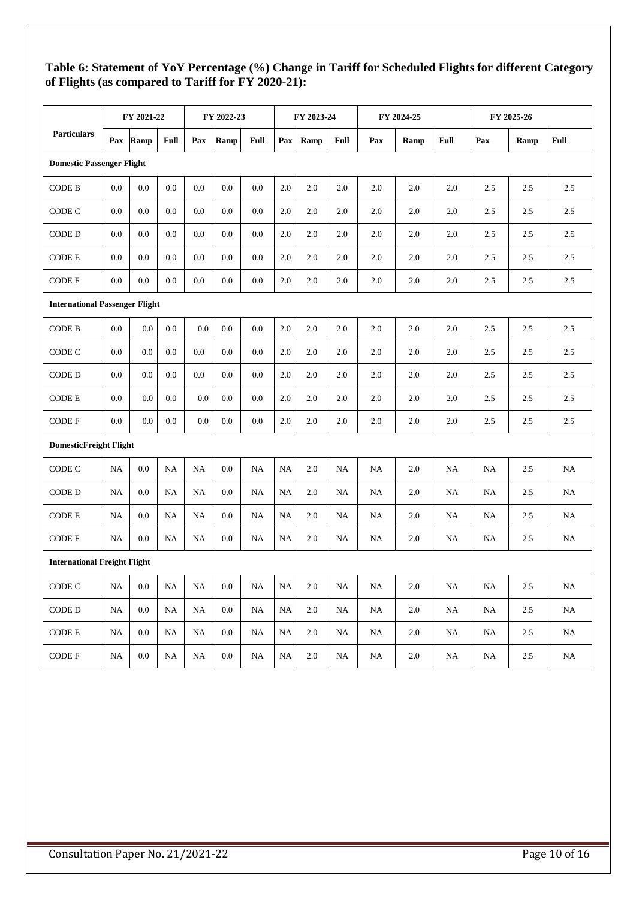# **Table 6: Statement of YoY Percentage (%) Change in Tariff for Scheduled Flights for different Category of Flights (as compared to Tariff for FY 2020-21):**

|                                       |           | FY 2021-22 |         |     | FY 2022-23 |             | FY 2023-24<br>FY 2024-25 |         |             |           |         | FY 2025-26 |          |      |      |
|---------------------------------------|-----------|------------|---------|-----|------------|-------------|--------------------------|---------|-------------|-----------|---------|------------|----------|------|------|
| <b>Particulars</b>                    | Pax       | Ramp       | Full    | Pax | Ramp       | <b>Full</b> | Pax                      | Ramp    | <b>Full</b> | Pax       | Ramp    | Full       | Pax      | Ramp | Full |
| <b>Domestic Passenger Flight</b>      |           |            |         |     |            |             |                          |         |             |           |         |            |          |      |      |
| <b>CODE B</b>                         | 0.0       | 0.0        | 0.0     | 0.0 | 0.0        | 0.0         | 2.0                      | 2.0     | 2.0         | 2.0       | 2.0     | 2.0        | 2.5      | 2.5  | 2.5  |
| CODE C                                | 0.0       | 0.0        | 0.0     | 0.0 | 0.0        | 0.0         | 2.0                      | 2.0     | 2.0         | 2.0       | 2.0     | 2.0        | $2.5\,$  | 2.5  | 2.5  |
| CODE D                                | 0.0       | 0.0        | 0.0     | 0.0 | 0.0        | 0.0         | 2.0                      | 2.0     | 2.0         | 2.0       | 2.0     | 2.0        | 2.5      | 2.5  | 2.5  |
| <b>CODE E</b>                         | 0.0       | 0.0        | 0.0     | 0.0 | 0.0        | 0.0         | 2.0                      | 2.0     | 2.0         | 2.0       | 2.0     | 2.0        | 2.5      | 2.5  | 2.5  |
| <b>CODE F</b>                         | 0.0       | 0.0        | $0.0\,$ | 0.0 | 0.0        | 0.0         | 2.0                      | 2.0     | 2.0         | 2.0       | 2.0     | 2.0        | 2.5      | 2.5  | 2.5  |
| <b>International Passenger Flight</b> |           |            |         |     |            |             |                          |         |             |           |         |            |          |      |      |
| <b>CODE B</b>                         | 0.0       | $0.0\,$    | 0.0     | 0.0 | 0.0        | 0.0         | 2.0                      | $2.0\,$ | $2.0\,$     | 2.0       | $2.0\,$ | $2.0\,$    | 2.5      | 2.5  | 2.5  |
| CODE C                                | 0.0       | 0.0        | 0.0     | 0.0 | 0.0        | 0.0         | 2.0                      | 2.0     | 2.0         | 2.0       | 2.0     | 2.0        | 2.5      | 2.5  | 2.5  |
| CODE D                                | 0.0       | 0.0        | 0.0     | 0.0 | 0.0        | 0.0         | 2.0                      | 2.0     | 2.0         | 2.0       | 2.0     | 2.0        | 2.5      | 2.5  | 2.5  |
| <b>CODE E</b>                         | 0.0       | 0.0        | 0.0     | 0.0 | 0.0        | 0.0         | 2.0                      | 2.0     | 2.0         | 2.0       | 2.0     | 2.0        | 2.5      | 2.5  | 2.5  |
| <b>CODE F</b>                         | 0.0       | 0.0        | 0.0     | 0.0 | 0.0        | 0.0         | 2.0                      | $2.0\,$ | 2.0         | 2.0       | 2.0     | 2.0        | 2.5      | 2.5  | 2.5  |
| <b>DomesticFreight Flight</b>         |           |            |         |     |            |             |                          |         |             |           |         |            |          |      |      |
| CODE C                                | NA        | 0.0        | NA      | NA  | 0.0        | NA          | <b>NA</b>                | 2.0     | NA          | <b>NA</b> | 2.0     | NA         | NA       | 2.5  | NA   |
| CODE D                                | <b>NA</b> | 0.0        | NA      | NA  | 0.0        | NA          | NA                       | 2.0     | NA          | NA        | 2.0     | NA         | NA       | 2.5  | NA   |
| <b>CODE E</b>                         | <b>NA</b> | 0.0        | NA      | NA  | 0.0        | NA          | NA                       | $2.0\,$ | NA          | NA        | 2.0     | NA         | NA       | 2.5  | NA   |
| <b>CODE F</b>                         | NA        | 0.0        | NA      | NA  | 0.0        | NA          | NA                       | 2.0     | NA          | NA        | 2.0     | NA         | NA       | 2.5  | NA   |
| <b>International Freight Flight</b>   |           |            |         |     |            |             |                          |         |             |           |         |            |          |      |      |
| CODE C                                | NA        | $0.0\,$    | NA      | NA  | $0.0\,$    | NA          | NA                       | 2.0     | NA          | NA        | $2.0\,$ | NA         | NA       | 2.5  | NA   |
| CODE D                                | NA        | $0.0\,$    | NA      | NA  | $0.0\,$    | NA          | NA                       | $2.0\,$ | $_{\rm NA}$ | NA        | $2.0\,$ | NA         | NA       | 2.5  | NA   |
| CODE E                                | NA        | 0.0        | NA      | NA  | 0.0        | NA          | NA                       | 2.0     | NA          | NA        | 2.0     | NA         | NA       | 2.5  | NA.  |
| CODE F                                | NA        | $0.0\,$    | NA      | NA  | 0.0        | NA          | NA                       | 2.0     | $_{\rm NA}$ | NA        | 2.0     | NA         | $\rm NA$ | 2.5  | NA   |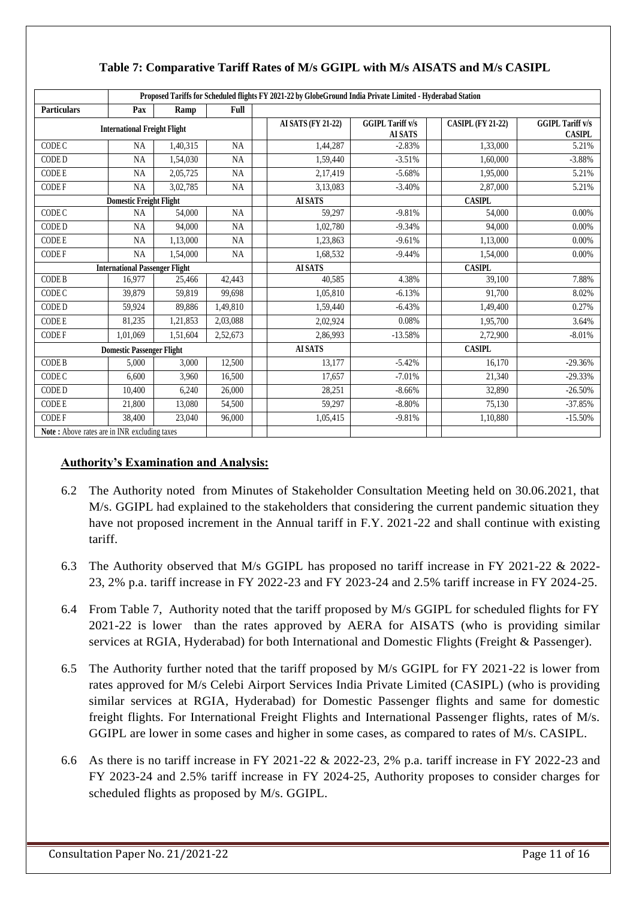|                                              | Proposed Tariffs for Scheduled flights FY 2021-22 by GlobeGround India Private Limited - Hyderabad Station |          |           |                    |                                           |                          |                                          |  |  |  |  |  |  |
|----------------------------------------------|------------------------------------------------------------------------------------------------------------|----------|-----------|--------------------|-------------------------------------------|--------------------------|------------------------------------------|--|--|--|--|--|--|
| <b>Particulars</b>                           | Pax                                                                                                        | Ramp     | Full      |                    |                                           |                          |                                          |  |  |  |  |  |  |
|                                              | <b>International Freight Flight</b>                                                                        |          |           | AI SATS (FY 21-22) | <b>GGIPL Tariff v/s</b><br><b>AI SATS</b> | <b>CASIPL (FY 21-22)</b> | <b>GGIPL Tariff v/s</b><br><b>CASIPL</b> |  |  |  |  |  |  |
| CODE C                                       | <b>NA</b>                                                                                                  | 1,40,315 | <b>NA</b> | 1,44,287           | $-2.83%$                                  | 1,33,000                 | 5.21%                                    |  |  |  |  |  |  |
| CODE D                                       | <b>NA</b>                                                                                                  | 1,54,030 | <b>NA</b> | 1,59,440           | $-3.51%$                                  | 1,60,000                 | $-3.88%$                                 |  |  |  |  |  |  |
| <b>CODE E</b>                                | <b>NA</b>                                                                                                  | 2,05,725 | <b>NA</b> | 2,17,419           | $-5.68%$                                  | 1,95,000                 | 5.21%                                    |  |  |  |  |  |  |
| <b>CODEF</b>                                 | <b>NA</b>                                                                                                  | 3,02,785 | NA        | 3,13,083           | $-3.40%$                                  | 2,87,000                 | 5.21%                                    |  |  |  |  |  |  |
|                                              | <b>Domestic Freight Flight</b>                                                                             |          |           | <b>AI SATS</b>     |                                           | <b>CASIPL</b>            |                                          |  |  |  |  |  |  |
| CODE C                                       | <b>NA</b>                                                                                                  | 54,000   | <b>NA</b> | 59,297             | $-9.81%$                                  | 54,000                   | 0.00%                                    |  |  |  |  |  |  |
| CODE D                                       | <b>NA</b>                                                                                                  | 94,000   | NA        | 1,02,780           | $-9.34%$                                  | 94,000                   | 0.00%                                    |  |  |  |  |  |  |
| <b>CODE E</b>                                | <b>NA</b>                                                                                                  | 1,13,000 | <b>NA</b> | 1,23,863           | $-9.61%$                                  | 1,13,000                 | 0.00%                                    |  |  |  |  |  |  |
| <b>CODEF</b>                                 | NA                                                                                                         | 1,54,000 | NA        | 1,68,532           | $-9.44%$                                  | 1,54,000                 | 0.00%                                    |  |  |  |  |  |  |
|                                              | <b>International Passenger Flight</b>                                                                      |          |           | <b>AI SATS</b>     |                                           | <b>CASIPL</b>            |                                          |  |  |  |  |  |  |
| CODE B                                       | 16,977                                                                                                     | 25,466   | 42,443    | 40,585             | 4.38%                                     | 39,100                   | 7.88%                                    |  |  |  |  |  |  |
| CODE C                                       | 39,879                                                                                                     | 59,819   | 99,698    | 1,05,810           | $-6.13%$                                  | 91,700                   | 8.02%                                    |  |  |  |  |  |  |
| CODE D                                       | 59,924                                                                                                     | 89,886   | 1,49,810  | 1,59,440           | $-6.43%$                                  | 1,49,400                 | 0.27%                                    |  |  |  |  |  |  |
| <b>CODE E</b>                                | 81,235                                                                                                     | 1,21,853 | 2,03,088  | 2,02,924           | 0.08%                                     | 1,95,700                 | 3.64%                                    |  |  |  |  |  |  |
| <b>CODEF</b>                                 | 1,01,069                                                                                                   | 1,51,604 | 2,52,673  | 2,86,993           | $-13.58%$                                 | 2,72,900                 | $-8.01%$                                 |  |  |  |  |  |  |
|                                              | <b>Domestic Passenger Flight</b>                                                                           |          |           | <b>AI SATS</b>     |                                           | <b>CASIPL</b>            |                                          |  |  |  |  |  |  |
| <b>CODE B</b>                                | 5,000                                                                                                      | 3,000    | 12,500    | 13.177             | $-5.42%$                                  | 16.170                   | $-29.36%$                                |  |  |  |  |  |  |
| CODE C                                       | 6,600                                                                                                      | 3,960    | 16,500    | 17,657             | $-7.01%$                                  | 21,340                   | $-29.33%$                                |  |  |  |  |  |  |
| CODE D                                       | 10,400                                                                                                     | 6,240    | 26,000    | 28,251             | $-8.66%$                                  | 32,890                   | $-26.50%$                                |  |  |  |  |  |  |
| CODE E                                       | 21,800                                                                                                     | 13,080   | 54,500    | 59,297             | $-8.80%$                                  | 75,130                   | $-37.85%$                                |  |  |  |  |  |  |
| <b>CODEF</b>                                 | 38,400                                                                                                     | 23,040   | 96,000    | 1,05,415           | $-9.81%$                                  | 1,10,880                 | $-15.50%$                                |  |  |  |  |  |  |
| Note: Above rates are in INR excluding taxes |                                                                                                            |          |           |                    |                                           |                          |                                          |  |  |  |  |  |  |

# **Table 7: Comparative Tariff Rates of M/s GGIPL with M/s AISATS and M/s CASIPL**

- 6.2 The Authority noted from Minutes of Stakeholder Consultation Meeting held on 30.06.2021, that M/s. GGIPL had explained to the stakeholders that considering the current pandemic situation they have not proposed increment in the Annual tariff in F.Y. 2021-22 and shall continue with existing tariff.
- 6.3 The Authority observed that M/s GGIPL has proposed no tariff increase in FY 2021-22 & 2022- 23, 2% p.a. tariff increase in FY 2022-23 and FY 2023-24 and 2.5% tariff increase in FY 2024-25.
- 6.4 From Table 7, Authority noted that the tariff proposed by M/s GGIPL for scheduled flights for FY 2021-22 is lower than the rates approved by AERA for AISATS (who is providing similar services at RGIA, Hyderabad) for both International and Domestic Flights (Freight & Passenger).
- 6.5 The Authority further noted that the tariff proposed by M/s GGIPL for FY 2021-22 is lower from rates approved for M/s Celebi Airport Services India Private Limited (CASIPL) (who is providing similar services at RGIA, Hyderabad) for Domestic Passenger flights and same for domestic freight flights. For International Freight Flights and International Passenger flights, rates of M/s. GGIPL are lower in some cases and higher in some cases, as compared to rates of M/s. CASIPL.
- 6.6 As there is no tariff increase in FY 2021-22 & 2022-23, 2% p.a. tariff increase in FY 2022-23 and FY 2023-24 and 2.5% tariff increase in FY 2024-25, Authority proposes to consider charges for scheduled flights as proposed by M/s. GGIPL.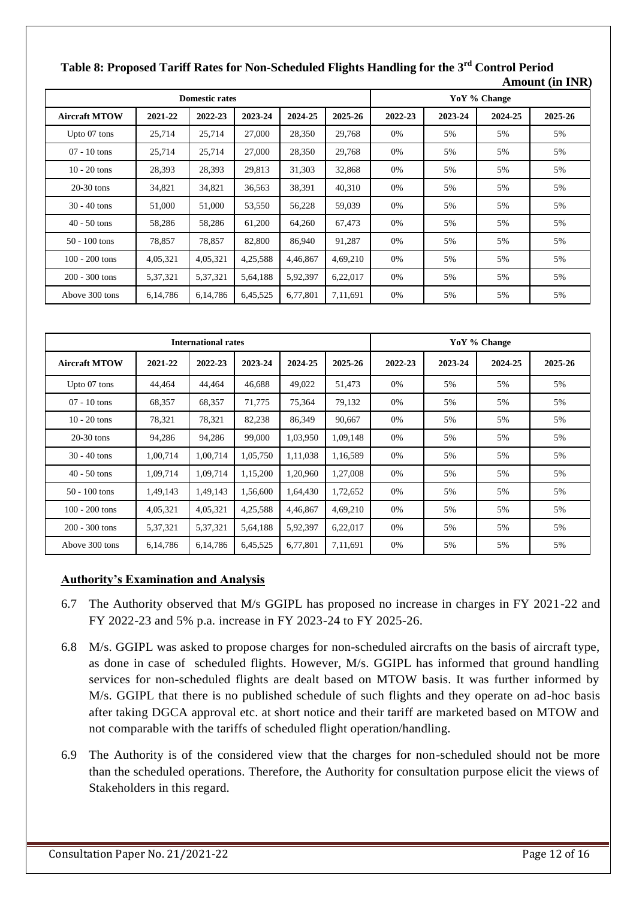|                      |            | <b>Domestic rates</b> |          |          |          | YoY % Change |         |         |         |  |  |
|----------------------|------------|-----------------------|----------|----------|----------|--------------|---------|---------|---------|--|--|
| <b>Aircraft MTOW</b> | 2021-22    | 2022-23               | 2023-24  | 2024-25  | 2025-26  | 2022-23      | 2023-24 | 2024-25 | 2025-26 |  |  |
| Upto 07 tons         | 25,714     | 25,714                | 27,000   | 28,350   | 29,768   | 0%           | 5%      | 5%      | 5%      |  |  |
| $07 - 10$ tons       | 25,714     | 25,714                | 27,000   | 28,350   | 29,768   | 0%           | 5%      | 5%      | 5%      |  |  |
| $10 - 20$ tons       | 28,393     | 28,393                | 29,813   | 31,303   | 32,868   | 0%           | 5%      | 5%      | 5%      |  |  |
| $20-30$ tons         | 34,821     | 34,821                | 36,563   | 38,391   | 40,310   | 0%           | 5%      | 5%      | 5%      |  |  |
| $30 - 40$ tons       | 51,000     | 51,000                | 53,550   | 56,228   | 59,039   | 0%           | 5%      | 5%      | 5%      |  |  |
| $40 - 50$ tons       | 58,286     | 58,286                | 61,200   | 64,260   | 67,473   | 0%           | 5%      | 5%      | 5%      |  |  |
| $50 - 100$ tons      | 78,857     | 78,857                | 82,800   | 86,940   | 91,287   | 0%           | 5%      | 5%      | 5%      |  |  |
| $100 - 200$ tons     | 4,05,321   | 4,05,321              | 4,25,588 | 4,46,867 | 4,69,210 | 0%           | 5%      | 5%      | 5%      |  |  |
| 200 - 300 tons       | 5, 37, 321 | 5,37,321              | 5,64,188 | 5,92,397 | 6,22,017 | 0%           | 5%      | 5%      | 5%      |  |  |
| Above 300 tons       | 6,14,786   | 6,14,786              | 6,45,525 | 6,77,801 | 7,11,691 | 0%           | 5%      | 5%      | 5%      |  |  |

# **Table 8: Proposed Tariff Rates for Non-Scheduled Flights Handling for the 3rd Control Period Amount (in INR)**

|                      |          | <b>International rates</b> |          |          |          |         |         | YoY % Change |         |
|----------------------|----------|----------------------------|----------|----------|----------|---------|---------|--------------|---------|
| <b>Aircraft MTOW</b> | 2021-22  | 2022-23                    | 2023-24  | 2024-25  | 2025-26  | 2022-23 | 2023-24 | 2024-25      | 2025-26 |
| Upto 07 tons         | 44,464   | 44,464                     | 46,688   | 49,022   | 51,473   | 0%      | 5%      | 5%           | 5%      |
| $07 - 10$ tons       | 68,357   | 68,357                     | 71,775   | 75,364   | 79,132   | 0%      | 5%      | 5%           | 5%      |
| $10 - 20$ tons       | 78,321   | 78,321                     | 82,238   | 86,349   | 90,667   | 0%      | 5%      | 5%           | 5%      |
| $20-30$ tons         | 94,286   | 94,286                     | 99,000   | 1,03,950 | 1,09,148 | 0%      | 5%      | 5%           | 5%      |
| $30 - 40$ tons       | 1,00,714 | 1.00.714                   | 1,05,750 | 1,11,038 | 1,16,589 | 0%      | 5%      | 5%           | 5%      |
| $40 - 50$ tons       | 1,09,714 | 1,09,714                   | 1,15,200 | 1,20,960 | 1,27,008 | 0%      | 5%      | 5%           | 5%      |
| $50 - 100$ tons      | 1,49,143 | 1,49,143                   | 1,56,600 | 1,64,430 | 1,72,652 | 0%      | 5%      | 5%           | 5%      |
| $100 - 200$ tons     | 4,05,321 | 4,05,321                   | 4,25,588 | 4,46,867 | 4,69,210 | 0%      | 5%      | 5%           | 5%      |
| $200 - 300$ tons     | 5,37,321 | 5,37,321                   | 5,64,188 | 5,92,397 | 6,22,017 | 0%      | 5%      | 5%           | 5%      |
| Above 300 tons       | 6,14,786 | 6,14,786                   | 6,45,525 | 6,77,801 | 7,11,691 | 0%      | 5%      | 5%           | 5%      |

- 6.7 The Authority observed that M/s GGIPL has proposed no increase in charges in FY 2021-22 and FY 2022-23 and 5% p.a. increase in FY 2023-24 to FY 2025-26.
- 6.8 M/s. GGIPL was asked to propose charges for non-scheduled aircrafts on the basis of aircraft type, as done in case of scheduled flights. However, M/s. GGIPL has informed that ground handling services for non-scheduled flights are dealt based on MTOW basis. It was further informed by M/s. GGIPL that there is no published schedule of such flights and they operate on ad-hoc basis after taking DGCA approval etc. at short notice and their tariff are marketed based on MTOW and not comparable with the tariffs of scheduled flight operation/handling.
- 6.9 The Authority is of the considered view that the charges for non-scheduled should not be more than the scheduled operations. Therefore, the Authority for consultation purpose elicit the views of Stakeholders in this regard.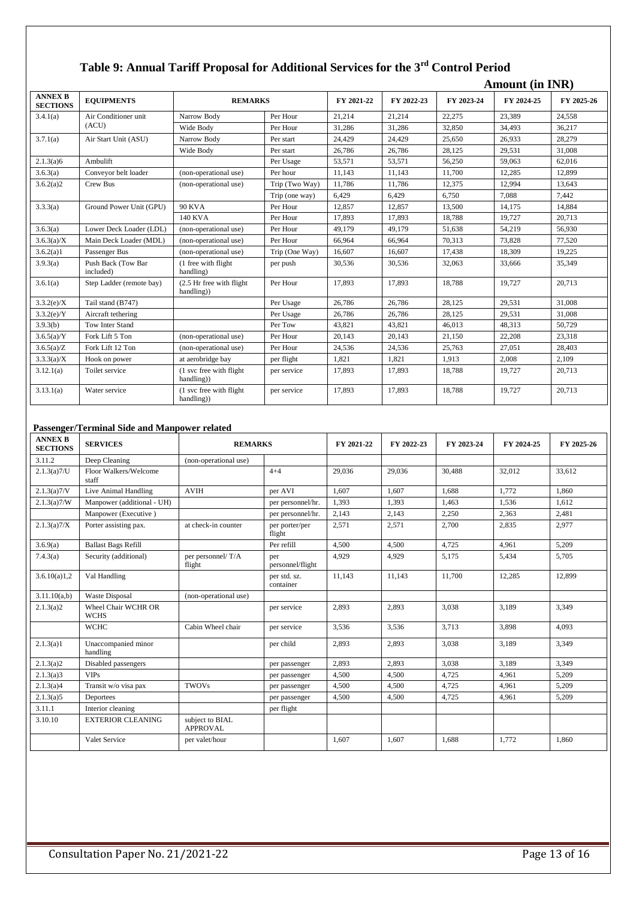# **Table 9: Annual Tariff Proposal for Additional Services for the 3rd Control Period**

|                                   |                                 |                                        |                |            |            |            | <b>Amount (in INR)</b> |            |
|-----------------------------------|---------------------------------|----------------------------------------|----------------|------------|------------|------------|------------------------|------------|
| <b>ANNEX B</b><br><b>SECTIONS</b> | <b>EQUIPMENTS</b>               | <b>REMARKS</b>                         |                | FY 2021-22 | FY 2022-23 | FY 2023-24 | FY 2024-25             | FY 2025-26 |
| 3.4.1(a)                          | Air Conditioner unit            | Narrow Body                            | Per Hour       | 21.214     | 21.214     | 22.275     | 23.389                 | 24.558     |
|                                   | (ACU)                           | Wide Body                              | Per Hour       | 31,286     | 31,286     | 32,850     | 34,493                 | 36,217     |
| 3.7.1(a)                          | Air Start Unit (ASU)            | Narrow Body                            | Per start      | 24.429     | 24.429     | 25.650     | 26.933                 | 28,279     |
|                                   |                                 | Wide Body                              | Per start      | 26,786     | 26,786     | 28,125     | 29.531                 | 31,008     |
| 2.1.3(a)6                         | Ambulift                        |                                        | Per Usage      | 53,571     | 53,571     | 56,250     | 59,063                 | 62,016     |
| 3.6.3(a)                          | Conveyor belt loader            | (non-operational use)                  | Per hour       | 11,143     | 11.143     | 11.700     | 12,285                 | 12.899     |
| 3.6.2(a)2                         | Crew Bus                        | (non-operational use)                  | Trip (Two Way) | 11,786     | 11,786     | 12,375     | 12,994                 | 13,643     |
|                                   |                                 |                                        | Trip (one way) | 6,429      | 6,429      | 6,750      | 7.088                  | 7,442      |
| 3.3.3(a)                          | Ground Power Unit (GPU)         | <b>90 KVA</b>                          | Per Hour       | 12,857     | 12,857     | 13,500     | 14,175                 | 14,884     |
|                                   |                                 | <b>140 KVA</b>                         | Per Hour       | 17.893     | 17.893     | 18.788     | 19.727                 | 20.713     |
| 3.6.3(a)                          | Lower Deck Loader (LDL)         | (non-operational use)                  | Per Hour       | 49.179     | 49.179     | 51,638     | 54,219                 | 56,930     |
| $3.6.3(a)$ /X                     | Main Deck Loader (MDL)          | (non-operational use)                  | Per Hour       | 66,964     | 66,964     | 70,313     | 73,828                 | 77,520     |
| 3.6.2(a)1                         | Passenger Bus                   | (non-operational use)                  | Trip (One Way) | 16.607     | 16.607     | 17.438     | 18.309                 | 19,225     |
| 3.9.3(a)                          | Push Back (Tow Bar<br>included) | (1 free with flight)<br>handling)      | per push       | 30,536     | 30,536     | 32,063     | 33,666                 | 35,349     |
| 3.6.1(a)                          | Step Ladder (remote bay)        | (2.5 Hr free with flight<br>handling)) | Per Hour       | 17,893     | 17.893     | 18,788     | 19,727                 | 20,713     |
| 3.3.2(e)/X                        | Tail stand (B747)               |                                        | Per Usage      | 26,786     | 26,786     | 28,125     | 29,531                 | 31,008     |
| 3.3.2(e)/Y                        | Aircraft tethering              |                                        | Per Usage      | 26,786     | 26,786     | 28,125     | 29,531                 | 31,008     |
| 3.9.3(b)                          | Tow Inter Stand                 |                                        | Per Tow        | 43,821     | 43.821     | 46.013     | 48.313                 | 50.729     |
| $3.6.5(a)$ /Y                     | Fork Lift 5 Ton                 | (non-operational use)                  | Per Hour       | 20,143     | 20,143     | 21,150     | 22,208                 | 23,318     |
| 3.6.5(a)/Z                        | Fork Lift 12 Ton                | (non-operational use)                  | Per Hour       | 24,536     | 24,536     | 25,763     | 27,051                 | 28,403     |
| 3.3.3(a)/X                        | Hook on power                   | at aerobridge bay                      | per flight     | 1,821      | 1,821      | 1,913      | 2.008                  | 2,109      |
| 3.12.1(a)                         | Toilet service                  | (1 svc free with flight<br>handling))  | per service    | 17,893     | 17,893     | 18,788     | 19,727                 | 20,713     |
| 3.13.1(a)                         | Water service                   | (1 svc free with flight<br>handling))  | per service    | 17,893     | 17,893     | 18,788     | 19,727                 | 20,713     |

#### **Passenger/Terminal Side and Manpower related**

| <b>ANNEX B</b><br><b>SECTIONS</b> | <b>SERVICES</b>                    | <b>REMARKS</b>                     |                           | FY 2021-22 | FY 2022-23 | FY 2023-24 | FY 2024-25 | FY 2025-26 |
|-----------------------------------|------------------------------------|------------------------------------|---------------------------|------------|------------|------------|------------|------------|
| 3.11.2                            | Deep Cleaning                      | (non-operational use)              |                           |            |            |            |            |            |
| 2.1.3(a)7/U                       | Floor Walkers/Welcome<br>staff     |                                    | $4 + 4$                   | 29,036     | 29,036     | 30,488     | 32,012     | 33,612     |
| 2.1.3(a)7/V                       | Live Animal Handling               | <b>AVIH</b>                        | per AVI                   | 1.607      | 1.607      | 1.688      | 1.772      | 1.860      |
| 2.1.3(a)7/W                       | Manpower (additional - UH)         |                                    | per personnel/hr.         | 1.393      | 1,393      | 1,463      | 1.536      | 1.612      |
|                                   | Manpower (Executive)               |                                    | per personnel/hr.         | 2,143      | 2,143      | 2,250      | 2,363      | 2,481      |
| 2.1.3(a)7/X                       | Porter assisting pax.              | at check-in counter                | per porter/per<br>flight  | 2,571      | 2,571      | 2,700      | 2,835      | 2,977      |
| 3.6.9(a)                          | <b>Ballast Bags Refill</b>         |                                    | Per refill                | 4.500      | 4.500      | 4.725      | 4.961      | 5.209      |
| 7.4.3(a)                          | Security (additional)              | per personnel/T/A<br>flight        | per<br>personnel/flight   | 4.929      | 4,929      | 5,175      | 5,434      | 5,705      |
| 3.6.10(a)1,2                      | Val Handling                       |                                    | per std. sz.<br>container | 11,143     | 11,143     | 11,700     | 12,285     | 12,899     |
| 3.11.10(a,b)                      | <b>Waste Disposal</b>              | (non-operational use)              |                           |            |            |            |            |            |
| 2.1.3(a)2                         | Wheel Chair WCHR OR<br><b>WCHS</b> |                                    | per service               | 2,893      | 2,893      | 3,038      | 3,189      | 3,349      |
|                                   | <b>WCHC</b>                        | Cabin Wheel chair                  | per service               | 3,536      | 3,536      | 3,713      | 3.898      | 4,093      |
| 2.1.3(a)1                         | Unaccompanied minor<br>handling    |                                    | per child                 | 2,893      | 2,893      | 3,038      | 3,189      | 3,349      |
| 2.1.3(a)2                         | Disabled passengers                |                                    | per passenger             | 2,893      | 2,893      | 3.038      | 3.189      | 3.349      |
| 2.1.3(a)3                         | <b>VIPs</b>                        |                                    | per passenger             | 4,500      | 4,500      | 4,725      | 4,961      | 5,209      |
| 2.1.3(a)4                         | Transit w/o visa pax               | <b>TWOVs</b>                       | per passenger             | 4,500      | 4,500      | 4.725      | 4,961      | 5,209      |
| 2.1.3(a)5                         | Deportees                          |                                    | per passenger             | 4.500      | 4,500      | 4,725      | 4,961      | 5,209      |
| 3.11.1                            | Interior cleaning                  |                                    | per flight                |            |            |            |            |            |
| 3.10.10                           | <b>EXTERIOR CLEANING</b>           | subject to BIAL<br><b>APPROVAL</b> |                           |            |            |            |            |            |
|                                   | Valet Service                      | per valet/hour                     |                           | 1,607      | 1,607      | 1,688      | 1,772      | 1,860      |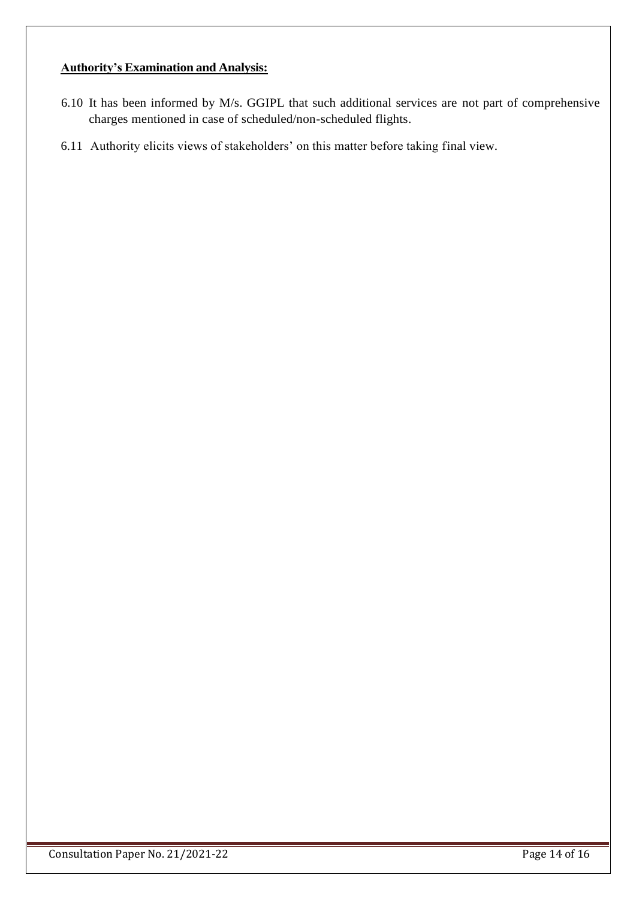- 6.10 It has been informed by M/s. GGIPL that such additional services are not part of comprehensive charges mentioned in case of scheduled/non-scheduled flights.
- 6.11 Authority elicits views of stakeholders' on this matter before taking final view.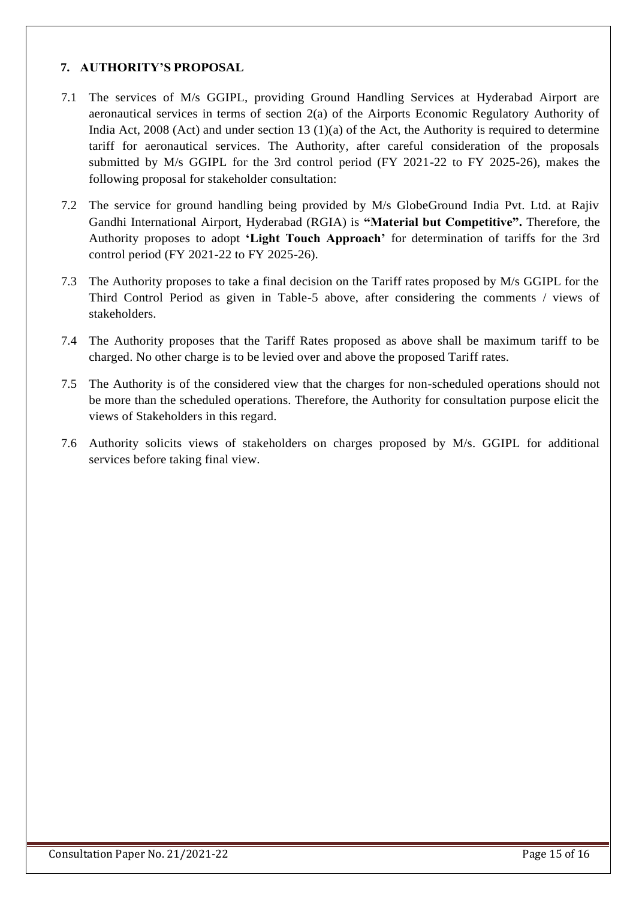# **7. AUTHORITY'S PROPOSAL**

- 7.1 The services of M/s GGIPL, providing Ground Handling Services at Hyderabad Airport are aeronautical services in terms of section 2(a) of the Airports Economic Regulatory Authority of India Act, 2008 (Act) and under section 13 (1)(a) of the Act, the Authority is required to determine tariff for aeronautical services. The Authority, after careful consideration of the proposals submitted by M/s GGIPL for the 3rd control period (FY 2021-22 to FY 2025-26), makes the following proposal for stakeholder consultation:
- 7.2 The service for ground handling being provided by M/s GlobeGround India Pvt. Ltd. at Rajiv Gandhi International Airport, Hyderabad (RGIA) is **"Material but Competitive".** Therefore, the Authority proposes to adopt **'Light Touch Approach'** for determination of tariffs for the 3rd control period (FY 2021-22 to FY 2025-26).
- 7.3 The Authority proposes to take a final decision on the Tariff rates proposed by M/s GGIPL for the Third Control Period as given in Table-5 above, after considering the comments / views of stakeholders.
- 7.4 The Authority proposes that the Tariff Rates proposed as above shall be maximum tariff to be charged. No other charge is to be levied over and above the proposed Tariff rates.
- 7.5 The Authority is of the considered view that the charges for non-scheduled operations should not be more than the scheduled operations. Therefore, the Authority for consultation purpose elicit the views of Stakeholders in this regard.
- 7.6 Authority solicits views of stakeholders on charges proposed by M/s. GGIPL for additional services before taking final view.